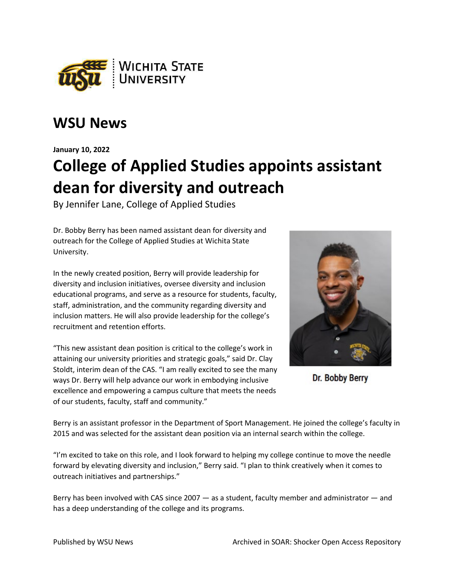

## **WSU News**

**January 10, 2022**

## **College of Applied Studies appoints assistant dean for diversity and outreach**

By Jennifer Lane, College of Applied Studies

Dr. Bobby Berry has been named assistant dean for diversity and outreach for the College of Applied Studies at Wichita State University.

In the newly created position, Berry will provide leadership for diversity and inclusion initiatives, oversee diversity and inclusion educational programs, and serve as a resource for students, faculty, staff, administration, and the community regarding diversity and inclusion matters. He will also provide leadership for the college's recruitment and retention efforts.

"This new assistant dean position is critical to the college's work in attaining our university priorities and strategic goals," said Dr. Clay Stoldt, interim dean of the CAS. "I am really excited to see the many ways Dr. Berry will help advance our work in embodying inclusive excellence and empowering a campus culture that meets the needs of our students, faculty, staff and community."



Dr: **Bobby Berry** 

Berry is an assistant professor in the Department of Sport Management. He joined the college's faculty in 2015 and was selected for the assistant dean position via an internal search within the college.

"I'm excited to take on this role, and I look forward to helping my college continue to move the needle forward by elevating diversity and inclusion," Berry said. "I plan to think creatively when it comes to outreach initiatives and partnerships."

Berry has been involved with CAS since 2007 — as a student, faculty member and administrator — and has a deep understanding of the college and its programs.